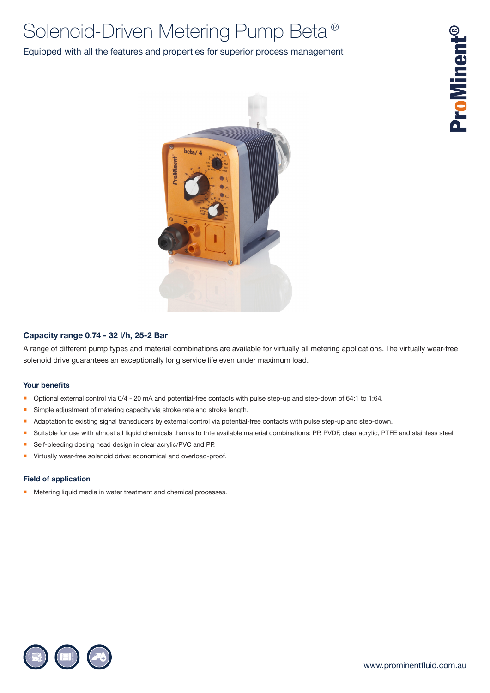# Solenoid-Driven Metering Pump Beta®

# Equipped with all the features and properties for superior process management



### **Capacity range 0.74 - 32 l/h, 25-2 Bar**

A range of different pump types and material combinations are available for virtually all metering applications. The virtually wear-free solenoid drive guarantees an exceptionally long service life even under maximum load.

### **Your benefits**

- Optional external control via 0/4 20 mA and potential-free contacts with pulse step-up and step-down of 64:1 to 1:64.
- Simple adjustment of metering capacity via stroke rate and stroke length.
- Adaptation to existing signal transducers by external control via potential-free contacts with pulse step-up and step-down.
- Suitable for use with almost all liquid chemicals thanks to thte available material combinations: PP, PVDF, clear acrylic, PTFE and stainless steel.
- Self-bleeding dosing head design in clear acrylic/PVC and PP.
- **Virtually wear-free solenoid drive: economical and overload-proof.**

#### **Field of application**

Metering liquid media in water treatment and chemical processes.

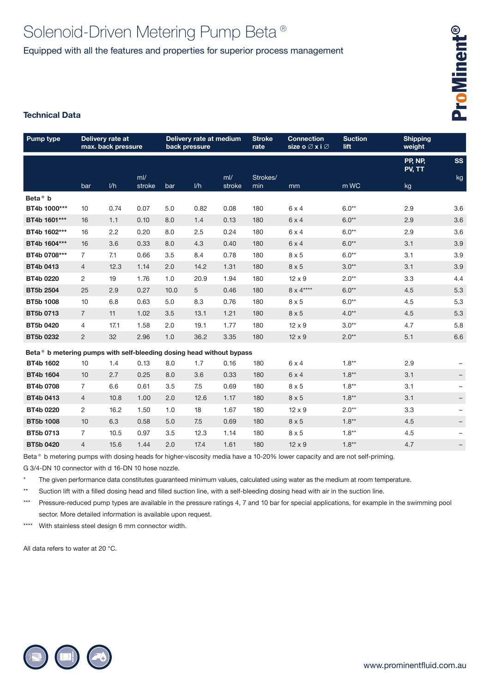# Solenoid-Driven Metering Pump Beta® Equipped with all the features and properties for superior process management

# **Technical Data**

| <b>Pump type</b>                                                     | Delivery rate at<br>max. back pressure |      |              | Delivery rate at medium<br>back pressure |      |              | <b>Stroke</b><br>rate | <b>Connection</b><br>size o⊘x i⊘ | <b>Suction</b><br>lift | <b>Shipping</b><br>weight |           |
|----------------------------------------------------------------------|----------------------------------------|------|--------------|------------------------------------------|------|--------------|-----------------------|----------------------------------|------------------------|---------------------------|-----------|
|                                                                      |                                        |      |              |                                          |      |              |                       |                                  |                        | PP, NP,<br>PV, TT         | <b>SS</b> |
|                                                                      | bar                                    | 1/h  | mV<br>stroke | bar                                      | 1/h  | mV<br>stroke | Strokes/<br>min       | mm                               | m WC                   | kg                        | kg        |
| Beta <sup>®</sup> b                                                  |                                        |      |              |                                          |      |              |                       |                                  |                        |                           |           |
| BT4b 1000***                                                         | 10                                     | 0.74 | 0.07         | 5.0                                      | 0.82 | 0.08         | 180                   | $6 \times 4$                     | $6.0**$                | 2.9                       | 3.6       |
| BT4b 1601***                                                         | 16                                     | 1.1  | 0.10         | 8.0                                      | 1.4  | 0.13         | 180                   | 6x4                              | $6.0**$                | 2.9                       | 3.6       |
| BT4b 1602***                                                         | 16                                     | 2.2  | 0.20         | 8.0                                      | 2.5  | 0.24         | 180                   | $6 \times 4$                     | $6.0^{\star\star}$     | 2.9                       | 3.6       |
| BT4b 1604***                                                         | 16                                     | 3.6  | 0.33         | 8.0                                      | 4.3  | 0.40         | 180                   | 6x4                              | $6.0**$                | 3.1                       | 3.9       |
| BT4b 0708***                                                         | $\overline{7}$                         | 7.1  | 0.66         | 3.5                                      | 8.4  | 0.78         | 180                   | $8 \times 5$                     | $6.0**$                | 3.1                       | 3.9       |
| BT4b 0413                                                            | $\overline{4}$                         | 12.3 | 1.14         | 2.0                                      | 14.2 | 1.31         | 180                   | $8 \times 5$                     | $3.0**$                | 3.1                       | 3.9       |
| BT4b 0220                                                            | $\overline{2}$                         | 19   | 1.76         | 1.0                                      | 20.9 | 1.94         | 180                   | $12 \times 9$                    | $2.0**$                | 3.3                       | 4.4       |
| <b>BT5b 2504</b>                                                     | 25                                     | 2.9  | 0.27         | 10.0                                     | 5    | 0.46         | 180                   | $8 \times 4***$                  | $6.0**$                | 4.5                       | 5.3       |
| <b>BT5b 1008</b>                                                     | 10                                     | 6.8  | 0.63         | 5.0                                      | 8.3  | 0.76         | 180                   | $8 \times 5$                     | $6.0**$                | 4.5                       | 5.3       |
| BT5b 0713                                                            | $\overline{7}$                         | 11   | 1.02         | 3.5                                      | 13.1 | 1.21         | 180                   | $8 \times 5$                     | $4.0**$                | 4.5                       | 5.3       |
| BT5b 0420                                                            | $\overline{4}$                         | 17.1 | 1.58         | 2.0                                      | 19.1 | 1.77         | 180                   | $12 \times 9$                    | $3.0**$                | 4.7                       | 5.8       |
| BT5b 0232                                                            | $\overline{2}$                         | 32   | 2.96         | 1.0                                      | 36.2 | 3.35         | 180                   | $12 \times 9$                    | $2.0**$                | 5.1                       | 6.6       |
| Beta® b metering pumps with self-bleeding dosing head without bypass |                                        |      |              |                                          |      |              |                       |                                  |                        |                           |           |
| BT4b 1602                                                            | 10                                     | 1.4  | 0.13         | 8.0                                      | 1.7  | 0.16         | 180                   | $6 \times 4$                     | $1.8**$                | 2.9                       |           |
| <b>BT4b 1604</b>                                                     | 10                                     | 2.7  | 0.25         | 8.0                                      | 3.6  | 0.33         | 180                   | $6 \times 4$                     | $1.8**$                | 3.1                       | -         |
| BT4b 0708                                                            | $\overline{7}$                         | 6.6  | 0.61         | 3.5                                      | 7.5  | 0.69         | 180                   | $8 \times 5$                     | $1.8**$                | 3.1                       |           |
| BT4b 0413                                                            | $\overline{4}$                         | 10.8 | 1.00         | 2.0                                      | 12.6 | 1.17         | 180                   | $8 \times 5$                     | $1.8**$                | 3.1                       | -         |
| BT4b 0220                                                            | 2                                      | 16.2 | 1.50         | 1.0                                      | 18   | 1.67         | 180                   | $12 \times 9$                    | $2.0**$                | 3.3                       | -         |
| <b>BT5b 1008</b>                                                     | 10                                     | 6.3  | 0.58         | 5.0                                      | 7.5  | 0.69         | 180                   | $8 \times 5$                     | $1.8**$                | 4.5                       | -         |
| BT5b 0713                                                            | $\overline{7}$                         | 10.5 | 0.97         | 3.5                                      | 12.3 | 1.14         | 180                   | $8 \times 5$                     | $1.8**$                | 4.5                       |           |
| BT5b 0420                                                            | $\overline{4}$                         | 15.6 | 1.44         | 2.0                                      | 17.4 | 1.61         | 180                   | $12 \times 9$                    | $1.8**$                | 4.7                       |           |

Beta® b metering pumps with dosing heads for higher-viscosity media have a 10-20% lower capacity and are not self-priming. G 3/4-DN 10 connector with d 16-DN 10 hose nozzle.

The given performance data constitutes guaranteed minimum values, calculated using water as the medium at room temperature.

\*\* Suction lift with a filled dosing head and filled suction line, with a self-bleeding dosing head with air in the suction line.

\*\*\* Pressure-reduced pump types are available in the pressure ratings 4, 7 and 10 bar for special applications, for example in the swimming pool sector. More detailed information is available upon request.

\*\*\*\* With stainless steel design 6 mm connector width.

All data refers to water at 20 °C.